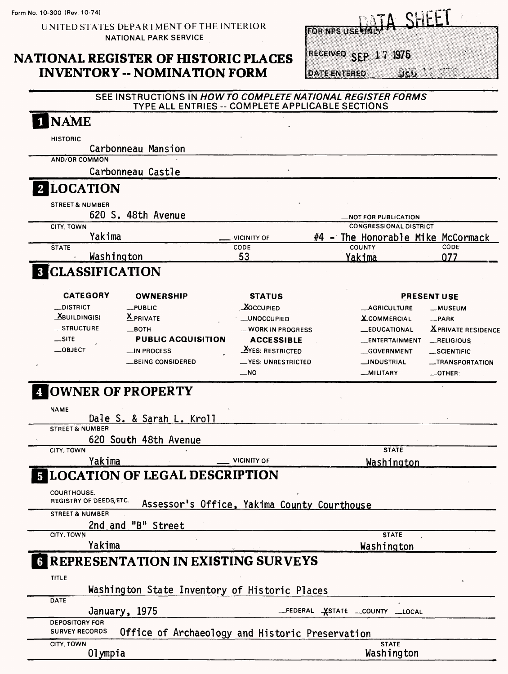## NATIONAL REGISTER OF HISTORIC PLACES **INVENTORY -- NOMINATION FORM**

A SHEFT **FOR NPS USE** 

RECEIVED SEP 17 1976

DATE ENTERED UEG 3.

#### SEE INSTRUCTIONS IN HOW TO COMPLETE NATIONAL REGISTER FORMS TYPE ALL ENTRIES -- COMPLETE APPLICABLE SECTIONS

| <b>NAME</b>                                                              |                                             |                                |                           |
|--------------------------------------------------------------------------|---------------------------------------------|--------------------------------|---------------------------|
| <b>HISTORIC</b>                                                          |                                             |                                |                           |
| Carbonneau Mansion                                                       |                                             |                                |                           |
| <b>AND/OR COMMON</b>                                                     |                                             |                                |                           |
| Carbonneau Castle                                                        |                                             |                                |                           |
| 2 LOCATION                                                               |                                             |                                |                           |
| <b>STREET &amp; NUMBER</b>                                               |                                             |                                |                           |
| 620 S. 48th Avenue                                                       |                                             | <b>NOT FOR PUBLICATION.</b>    |                           |
| CITY, TOWN                                                               |                                             | <b>CONGRESSIONAL DISTRICT</b>  |                           |
| Yakima                                                                   | #4<br><b>VICINITY OF</b>                    | - The Honorable Mike McCormack |                           |
| <b>STATE</b>                                                             | CODE                                        | COUNTY                         | CODE                      |
| Washington                                                               | 53                                          | Yakima                         | 077                       |
| <b>CLASSIFICATION</b>                                                    |                                             |                                |                           |
| <b>CATEGORY</b><br><b>OWNERSHIP</b>                                      | <b>STATUS</b>                               |                                | <b>PRESENT USE</b>        |
| __DISTRICT<br>$_{\rm \perp}$ PUBLIC                                      | $\Delta$ OCCUPIED                           | <b>__AGRICULTURE</b>           | __MUSEUM                  |
| $X$ BUILDING(S)<br><b>X</b> PRIVATE                                      | <b>_UNOCCUPIED</b>                          | <b>X.COMMERCIAL</b>            | $-$ PARK                  |
| <b>__STRUCTURE</b><br>—вотн                                              | <b>__WORK IN PROGRESS</b>                   | <b>_EDUCATIONAL</b>            | <b>XPRIVATE RESIDENCE</b> |
| $\equiv$ site<br><b>PUBLIC ACQUISITION</b>                               | <b>ACCESSIBLE</b>                           | _ENTERTAINMENT                 | __RELIGIOUS               |
| $\equiv$ OBJECT<br><b>__IN PROCESS</b>                                   | <b>XYES: RESTRICTED</b>                     | <b>GOVERNMENT</b>              | _SCIENTIFIC               |
| __BEING CONSIDERED                                                       | <b>__YES: UNRESTRICTED</b>                  | __INDUSTRIAL                   | _TRANSPORTATION           |
|                                                                          | $\equiv$ NO                                 | <b>__MILITARY</b>              | $\_$ OTHER:               |
| <b>NAME</b>                                                              |                                             |                                |                           |
| Dale S. & Sarah L. Kroll<br><b>STREET &amp; NUMBER</b>                   |                                             |                                |                           |
| 620 South 48th Avenue<br>CITY, TOWN                                      |                                             | <b>STATE</b>                   |                           |
|                                                                          | <b>VICINITY OF</b>                          |                                |                           |
| Yakima                                                                   |                                             | Washington                     |                           |
| <b>COURTHOUSE.</b>                                                       |                                             |                                |                           |
| <b>5 LOCATION OF LEGAL DESCRIPTION</b><br><b>REGISTRY OF DEEDS, ETC.</b> | Assessor's Office, Yakima County Courthouse |                                |                           |
| <b>STREET &amp; NUMBER</b>                                               |                                             |                                |                           |
| 2nd and "B" Street<br>CITY, TOWN                                         |                                             | <b>STATE</b>                   |                           |
| Yakima                                                                   |                                             |                                |                           |
|                                                                          |                                             | Washington                     |                           |
| <b>REPRESENTATION IN EXISTING SURVEYS</b>                                |                                             |                                |                           |
| TITLE                                                                    |                                             |                                |                           |
| Washington State Inventory of Historic Places<br><b>DATE</b>             |                                             |                                |                           |
| January, 1975                                                            |                                             | _FEDERAL XSTATE _COUNTY _LOCAL |                           |
| <b>DEPOSITORY FOR</b>                                                    |                                             |                                |                           |
| <b>SURVEY RECORDS</b><br>Office of Archaeology and Historic Preservation |                                             |                                |                           |
| CITY, TOWN<br>Olympia                                                    |                                             | <b>STATE</b><br>Washington     |                           |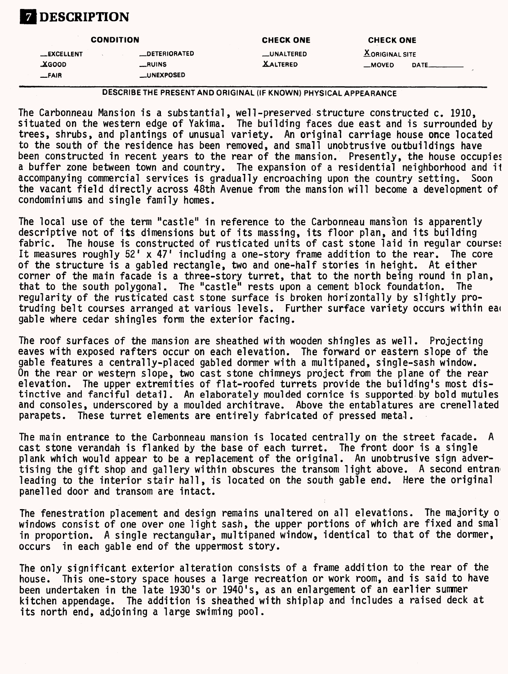

|                  | <b>CONDITION</b>     | <b>CHECK ONE</b> | <b>CHECK ONE</b>      |  |
|------------------|----------------------|------------------|-----------------------|--|
| <b>EXCELLENT</b> | <b>LOETERIORATED</b> | __UNALTERED      | <b>XORIGINAL SITE</b> |  |
| <b>AGOOD</b>     | __RUINS              | <b>XALTERED</b>  | $-MOVED$<br>DATE__    |  |
| $-FAIR$          | <b>LUNEXPOSED</b>    |                  |                       |  |

DESCRIBE THE PRESENT AND ORIGINAL (IF KNOWN) PHYSICAL APPEARANCE

The Carbonneau Mansion is a substantial, well-preserved structure constructed c. 1910, situated on the western edge of Yakima. The building faces due east and is surrounded by trees, shrubs, and plantings of unusual variety. An original carriage house once located to the south of the residence has been removed, and small unobtrusive outbuildings have been constructed in recent years to the rear of the mansion. Presently, the house occupies a buffer zone between town and country. The expansion of a residential neighborhood and it<br>accompanying commercial services is gradually encroaching upon the country setting. Soon accompanying commercial services is gradually encroaching upon the country setting. the vacant field directly across 48th Avenue from the mansion will become a development of condominiums and single family homes.

The local use of the term "castle" in reference to the Carbonneau mansion is apparently descriptive not of its dimensions but of its massing, its floor plan, and its building fabric. The house is constructed of rusticated units of cast stone laid in regular courses It measures roughly  $52'$  x 47' including a one-story frame addition to the rear. The core of the structure is a gabled rectangle, two and one-half stories in height. At either corner of the main facade is a three-story turret, that to the north being round in plan, that to the south polygonal. The "castle" rests upon a cement block foundation. The regularity of the rusticated cast stone surface is broken horizontally by slightly protruding belt courses arranged at various levels. Further surface variety occurs within ea< gable where cedar shingles form the exterior facing.

The roof surfaces of the mansion are sheathed with wooden shingles as well. Projecting eaves with exposed rafters occur on each elevation. The forward or eastern slope of the gable features a centrally-placed gabled dormer with a multipaned, single-sash window. On the rear or western slope, two cast stone chimneys project from the plane of the rear elevation. The upper extremities of flat-roofed turrets provide the building's most distinctive and fanciful detail. An elaborately moulded cornice is supported by bold mutules and consoles, underscored by a moulded architrave. Above the entablatures are crenellated parapets. These turret elements are entirely fabricated of pressed metal.

The main entrance to the Carbonneau mansion is located centrally on the street facade. A cast stone verandah is flanked by the base of each turret. The front door is a single plank which would appear to be a replacement of the original. An unobtrusive sign advertising the gift shop and gallery within obscures the transom light above. A second entran leading to the interior stair hall, is located on the south gable end. Here the original panelled door and transom are intact.

The fenestration placement and design remains unaltered on all elevations. The majority o windows consist of one over one light sash, the upper portions of which are fixed and smal in proportion. A single rectangular, multipaned window, identical to that of the dormer, occurs in each gable end of the uppermost story.

The only significant exterior alteration consists of a frame addition to the rear of the house. This one-story space houses a large recreation or work room, and is said to have been undertaken in the late 1930's or 1940's, as an enlargement of an earlier summer kitchen appendage. The addition is sheathed with shiplap and includes a raised deck at its north end, adjoining a large swiming pool.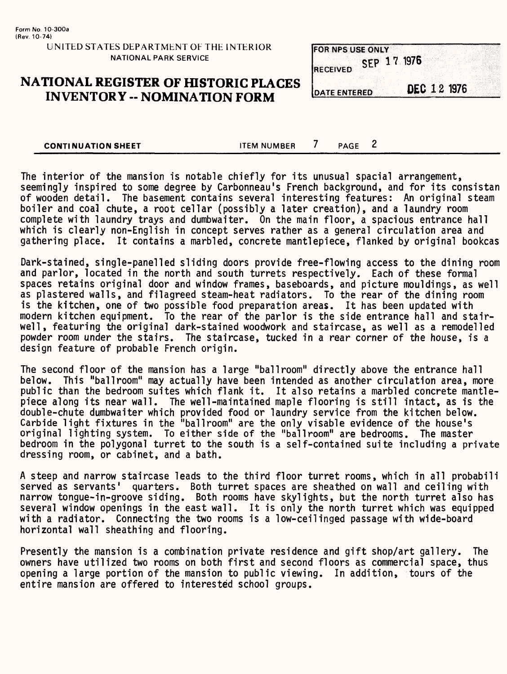## **NATIONAL REGISTER OF HISTORIC PLACES INVENTORY -- NOMINATION FORM**

| <b>IFOR NPS USE ONLY</b> |             |  |  |
|--------------------------|-------------|--|--|
|                          |             |  |  |
|                          |             |  |  |
|                          |             |  |  |
|                          | SFP 17 1976 |  |  |
|                          |             |  |  |
| <b>IRECEIVED</b>         |             |  |  |
|                          |             |  |  |
|                          |             |  |  |
|                          |             |  |  |
|                          |             |  |  |

**DATE ENTERED** 

DEC 12 1976

**CONTINUATION SHEET ITEM NUMBER** 7 PAGE 2

The interior of the mansion is notable chiefly for its unusual spacial arrangement, seemingly inspired to some degree by Carbonneau's French background, and for its consistan of wooden detail. The basement contains several interesting features: An original steam boiler and coal chute, a root cellar (possibly a later creation), and a laundry room complete with laundry trays and dumbwaiter. On the main floor, a spacious entrance hall which is clearly non-English in concept serves rather as a general circulation area and gathering place. It contains a marbled, concrete mantlepiece, flanked by original bookcas

Dark-stained, single-panelled sliding doors provide free-flowing access to the dining room and parlor, located in the north and south turrets respectively. Each of these formal spaces retains original door and window frames, baseboards, and picture mouldings, as well as plastered walls, and filagreed steam-heat radiators. To the rear of the dining room is the kitchen, one of two possible food preparation areas. It has been updated with modern kitchen equipment. To the rear of the parlor is the side entrance hall and stairwell, featuring the original dark-stained woodwork and staircase, as well as a remodelled powder room under the stairs. The staircase, tucked in a rear corner of the house, is a design feature of probable French origin.

The second floor of the mansion has a large "ballroom" directly above the entrance hall below. This "ballroom" may actually have been intended as another circulation area, more public than the bedroom suites which flank it. It also retains a marbled concrete mantlepiece along its near wall. The well-maintained maple flooring is still intact, as is the double-chute dumbwaiter which provided food or laundry service from the kitchen below. Carbide light fixtures in the "ballroom" are the only visable evidence of the house's original lighting system. To either side of the "ballroom" are bedrooms. The master bedroom in the polygonal turret to the south is a self-contained suite including a private dressing room, or cabinet, and a bath.

A steep and narrow staircase leads to the third floor turret rooms, which in all probabili served as servants' quarters. Both turret spaces are sheathed on wall and ceiling with narrow tongue-in-groove siding. Both rooms have skylights, but the north turret also has several window openings in the east wall. It is only the north turret which was equipped with a radiator. Connecting the two rooms is a low-ceilinged passage with wide-board horizontal wall sheathing and flooring.

Presently the mansion is a combination private residence and gift shop/art gallery. The owners have utilized two rooms on both first and second floors as commercial space, thus opening a large portion of the mansion to public viewing. In addition, tours of the entire mansion are offered to interested school groups.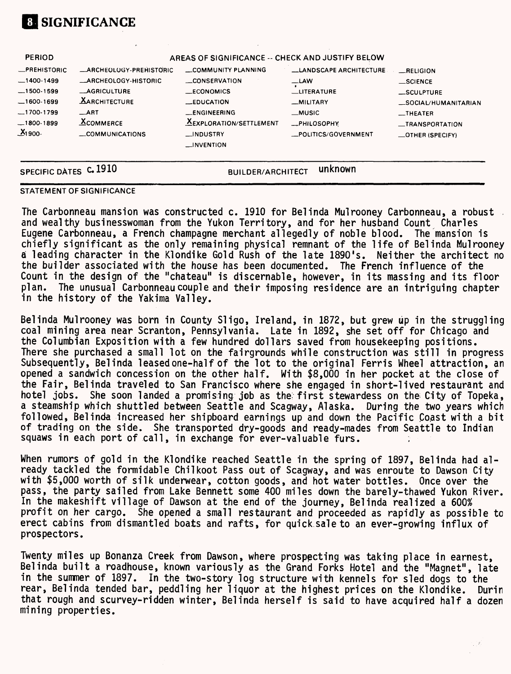

| SPECIFIC DATES C. 1910       |                                                    | <b>BUILDER/ARCHITECT</b>                                          | unknown                             |                                             |
|------------------------------|----------------------------------------------------|-------------------------------------------------------------------|-------------------------------------|---------------------------------------------|
| $-1800-1899$<br>$X_1$ 900-   | <b>XCOMMERCE</b><br>_COMMUNICATIONS                | <b>XEXPLORATION/SETTLEMENT</b><br>_INDUSTRY<br>$\equiv$ INVENTION | -PHILOSOPHY<br>_POLITICS/GOVERNMENT | _TRANSPORTATION<br>$\equiv$ OTHER (SPECIFY) |
| 1700-1799                    | ART                                                | <b>_ENGINEERING</b>                                               | $_M$ usic                           | $-$ THEATER                                 |
| $-1600-1699$                 | <b>XARCHITECTURE</b>                               | LEDUCATION                                                        | -MILITARY                           | _SCULPTURE<br>_SOCIAL/HUMANITARIAN          |
| $-1400-1499$<br>$-1500-1599$ | <b>LARCHEOLOGY-HISTORIC</b><br><b>_AGRICULTURE</b> | <b>CONSERVATION</b><br><b>ECONOMICS</b>                           | $-LAW$<br><b>LITERATURE</b>         | $\_$ SCIENCE                                |
| <b>_PREHISTORIC</b>          | <b>_ARCHEOLOGY-PREHISTORIC</b>                     | COMMUNITY PLANNING                                                | <b>LANDSCAPE ARCHITECTURE</b>       | RELIGION                                    |
| <b>PERIOD</b>                |                                                    | AREAS OF SIGNIFICANCE -- CHECK AND JUSTIFY BELOW                  |                                     |                                             |

## STATEMENT OF SIGNIFICANCE

The Carbonneau mansion was constructed c. 1910 for Belinda Mulrooney Carbonneau, a robust and wealthy businesswoman from the Yukon Territory, and for her husband Count Charles Eugene Carbonneau, a French champagne merchant allegedly of noble blood. The mansion is chiefly significant as the only remaining physical remnant of the life of Belinda Mulrooney a leading character in the Klondike Gold Rush of the late 1890's. Neither the architect no the builder associated with the house has been documented. The French influence of the Count in the design of the "chateau" is discernable, however, in its massing and its floor plan. The unusual Carbonneau couple and their imposing residence are an intriguing chapter in the history of the Yakima Valley.

Belinda Mulrooney was born in County Sligo, Ireland, in 1872, but grew up in the struggling coal mining area near Scranton, Pennsylvania. Late in 1892, she set off for Chicago and the Columbian Exposition with a few hundred dollars saved from housekeeping positions. There she purchased a small lot on the fairgrounds while construction was still in progress Subsequently, Belinda leased one-half of the lot to the original Ferris Wheel attraction, an opened a sandwich concession on the other half. With \$8,000 in her pocket at the close of the Fair, Belinda traveled to San Francisco where she engaged in short-lived restaurant and hotel jobs. She soon landed a promising job as the: first stewardess on the City of Topeka, a steamship which shuttled between Seattle and Scagway, Alaska. During the two years which followed, Belinda increased her shipboard earnings up and down the Pacific Coast with a bit of trading on the side. She transported dry-goods and ready-mades from Seattle to Indian squaws in each port of call, in exchange for ever-valuable furs.

When rumors of gold in the Klondike reached Seattle in the spring of 1897, Belinda had already tackled the formidable Chilkoot Pass out of Scagway, and was enroute to Dawson City with \$5,000 worth of silk underwear, cotton goods, and hot water bottles. Once over the pass, the party sailed from Lake Bennett some 400 miles down the barely-thawed Yukon River. In the makeshift village of Dawson at the end of the journey, Belinda realized a 600% profit on her cargo. She opened a small restaurant and proceeded as rapidly as possible to erect cabins from dismantled boats and rafts, for quick sale to an ever-growing influx of prospectors.

Twenty miles up Bonanza Creek from Dawson, where prospecting was taking place in earnest, Belinda built a roadhouse, known variously as the Grand Forks Hotel and the "Magnet", late in the summer of 1897. In the two-story log structure with kennels for sled dogs to the rear, Belinda tended bar, peddling her liquor at the highest prices on the Klondike. Durin that rough and scurvey-ridden winter, Belinda herself is said to have acquired half a dozen mining properties.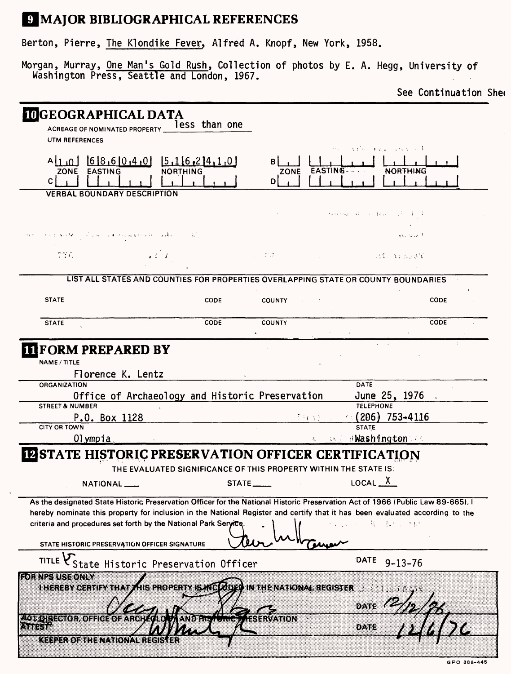# **9 MAJOR BIBLIOGRAPHICAL REFERENCES**

Berton, Pierre, The Klondike Fever, Alfred A. Knopf, New York, 1958.

Morgan, Murray, One Man's Gold Rush, Collection of photos by E. A. Hegg, University of Washington Press, Seattle and London, 1967.

See Continuation Shee

| <b>IOGEOGRAPHICAL DATA</b><br>ACREAGE OF NOMINATED PROPERTY __                                                                  | less than one                                                                      |               |                                  |               |
|---------------------------------------------------------------------------------------------------------------------------------|------------------------------------------------------------------------------------|---------------|----------------------------------|---------------|
| UTM REFERENCES                                                                                                                  |                                                                                    |               | Administration of the Control of |               |
| <b>EASTING</b><br>ZONE                                                                                                          | $A[1,0]$ $B[8,6]0,4,0$ $B[16,2]4,1,0$<br><b>NORTHING</b>                           |               |                                  | NORTHING      |
| C.                                                                                                                              |                                                                                    | DI            |                                  |               |
| <b>VERBAL BOUNDARY DESCRIPTION</b>                                                                                              |                                                                                    |               |                                  |               |
|                                                                                                                                 |                                                                                    |               | same so a na hair Prince         |               |
| الملاوي الاستعمامية والمستنبذ والمنافين                                                                                         |                                                                                    |               |                                  | المتورد وليلو |
| C36.                                                                                                                            | $-2 - 1$                                                                           | -1772         |                                  | ALCOHOL: AN   |
|                                                                                                                                 | LIST ALL STATES AND COUNTIES FOR PROPERTIES OVERLAPPING STATE OR COUNTY BOUNDARIES |               |                                  |               |
| <b>STATE</b>                                                                                                                    | <b>CODE</b>                                                                        | <b>COUNTY</b> |                                  | CODE          |
| <b>STATE</b>                                                                                                                    | CODE                                                                               | <b>COUNTY</b> |                                  | CODE          |
| <b>IT FORM PREPARED BY</b>                                                                                                      |                                                                                    |               |                                  |               |
| NAME / TITLE                                                                                                                    |                                                                                    |               |                                  |               |
| Florence K. Lentz                                                                                                               |                                                                                    |               |                                  |               |
| <b>ORGANIZATION</b>                                                                                                             |                                                                                    |               | DATE                             |               |
|                                                                                                                                 | Office of Archaeology and Historic Preservation                                    |               | June 25, 1976                    |               |
| <b>STREET &amp; NUMBER</b>                                                                                                      |                                                                                    |               | <b>TELEPHONE</b>                 |               |
| P.O. Box 1128                                                                                                                   |                                                                                    |               | $(206)$ 753–4116<br>それない         |               |
| <b>CITY OR TOWN</b>                                                                                                             |                                                                                    |               | <b>STATE</b>                     |               |
| Olympia                                                                                                                         |                                                                                    |               | we we awashington at             |               |
| <b>IN STATE HISTORIC PRESERVATION OFFICER CERTIFICATION</b>                                                                     |                                                                                    |               |                                  |               |
|                                                                                                                                 | THE EVALUATED SIGNIFICANCE OF THIS PROPERTY WITHIN THE STATE IS:                   |               |                                  |               |
| NATIONAL                                                                                                                        |                                                                                    | STATE         | LOCAL $X$                        |               |
| As the designated State Historic Preservation Officer for the National Historic Preservation Act of 1966 (Public Law 89-665), I |                                                                                    |               |                                  |               |
| hereby nominate this property for inclusion in the National Register and certify that it has been evaluated according to the    |                                                                                    |               |                                  |               |
| criteria and procedures set forth by the National Park Service.                                                                 |                                                                                    |               | 等 一般が いけむ                        |               |
| STATE HISTORIC PRESERVATION OFFICER SIGNATURE                                                                                   |                                                                                    |               |                                  |               |
|                                                                                                                                 | TITLE VState Historic Preservation Officer                                         |               | DATE 9-13-76                     |               |
| <b>FORRESUSEONLY</b>                                                                                                            | I HEREBY CERTIFY THAT THIS PROPERTY IS MCLODED IN THE NATIONAL REGISTER            |               |                                  |               |
| <u> 495 de fotor oficiale de Arcel (1645) and Elevento, Afservation</u>                                                         |                                                                                    |               | DATE                             |               |
| ansi                                                                                                                            |                                                                                    |               | DATE                             |               |
| <b>KEEPER OF THE NATIONAL REGISTER</b>                                                                                          |                                                                                    |               |                                  |               |

GPO 888-445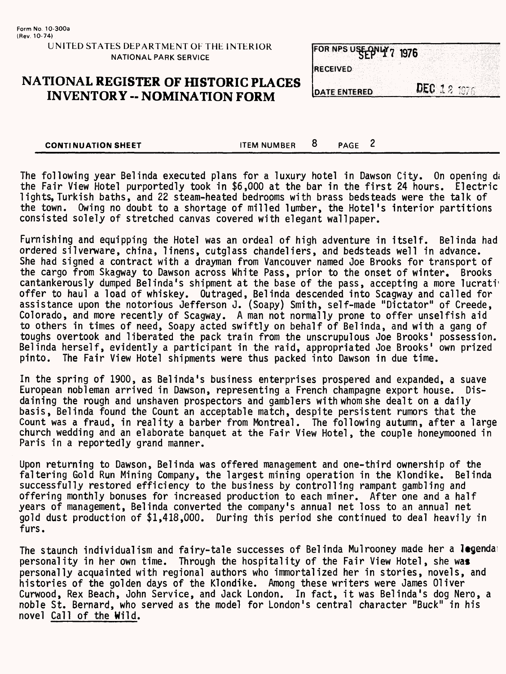## **NATIONAL REGISTER OF HISTORIC PLACES INVENTORY - NOMINATION FORM**

|                  | FOR NPS USE PNLY 7 1976 |  |  |  |  |
|------------------|-------------------------|--|--|--|--|
|                  |                         |  |  |  |  |
|                  |                         |  |  |  |  |
| <b>IRECEIVED</b> |                         |  |  |  |  |
|                  |                         |  |  |  |  |
|                  |                         |  |  |  |  |
|                  | <b>INATE ENTERED</b>    |  |  |  |  |

**CONTINUATION SHEET** TEM NUMBER 8 PAGE 2

The following year Belinda executed plans for a luxury hotel in Dawson City. On opening da the Fair View Hotel purportedly took in \$6,000 at the bar in the first 24 hours. Electric lights, Turkish baths, and 22 steam-heated bedrooms with brass bedsteads were the talk of the town. Owing no doubt to a shortage of milled lumber, the Hotel's interior partitions consisted solely of stretched canvas covered with elegant wallpaper.

Furnishing and equipping the Hotel was an ordeal of high adventure in itself. Belinda had ordered silverware, china, linens, cutglass chandeliers, and bedsteads well in advance. She had signed a contract with a drayman from Vancouver named Joe Brooks for transport of the cargo from Skagway to Dawson across White Pass, prior to the onset of winter. Brooks cantankerously dumped Belinda's shipment at the base of the pass, accepting a more lucrati offer to haul a load of whiskey. Outraged, Belinda descended into Scagway and called for assistance upon the notorious Jefferson J. (Soapy) Smith, self-made "Dictator" of Creede, Colorado, and more recently of Scagway. A man not normally prone to offer unselfish aid to others in times of need, Soapy acted swiftly on behalf of Belinda, and with a gang of toughs overtook and liberated the pack train from the unscrupulous Joe Brooks' possession. Belinda herself, evidently a participant in the raid, appropriated Joe Brooks' own prized<br>pinto. The Fair View Hotel shipments were thus packed into Dawson in due time. The Fair View Hotel shipments were thus packed into Dawson in due time.

In the spring of 1900, as Belinda's business enterprises prospered and expanded, a suave European nobleman arrived in Dawson, representing a French champagne export house. daining the rough and unshaven prospectors and gamblers with whom she dealt on a daily basis, Belinda found the Count an acceptable match, despite persistent rumors that the Count was a fraud, in reality a barber from Montreal. The following autumn, after a large church wedding and an elaborate banquet at the Fair View Hotel, the couple honeymooned in Paris in a reportedly grand manner.

Upon returning to Dawson, Belinda was offered management and one-third ownership of the faltering Gold Run Mining Company, the largest mining operation in the Klondike. Belinda successfully restored efficiency to the business by controlling rampant gambling and offering monthly bonuses for increased production to each miner. After one and a half years of management, Belinda converted the company's annual net loss to an annual net gold dust production of \$1,418,000. During this period she continued to deal heavily in furs.

The staunch individualism and fairy-tale successes of Belinda Mulrooney made her a legendal personality in her own time. Through the hospitality of the Fair View Hotel, she was personally acquainted with regional authors who immortalized her in stories, novels, and histories of the golden days of the Klondike. Among these writers were James Oliver Curwood, Rex Beach, John Service, and Jack London. In fact, it was Belinda's dog Nero, a noble St. Bernard, who served as the model for London's central character "Buck" in his novel Call of the Wild.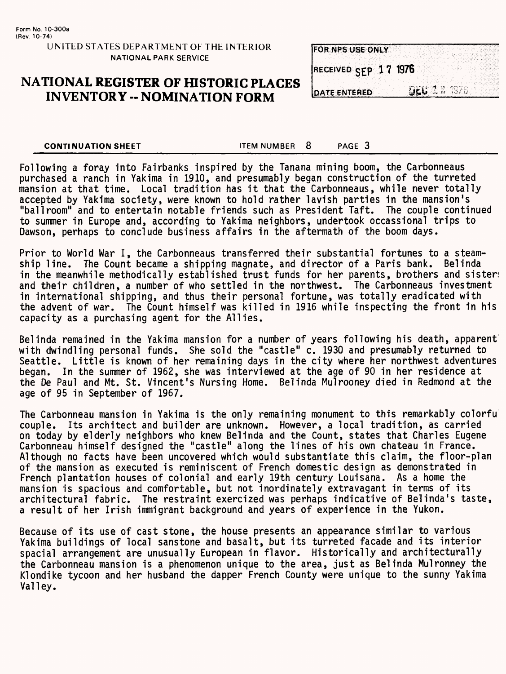## **NATIONAL REGISTER OF HISTORIC PLACES INVENTORY -- NOMINATION FORM**

| <b>FOR NPS USE ONLY</b> |                    |  |
|-------------------------|--------------------|--|
|                         |                    |  |
| RECEIVED SEP 17 1976    |                    |  |
|                         |                    |  |
| <b>DATE ENTERED</b>     | <b>DEC 12 1976</b> |  |

**CONTINUATION SHEET ITEM NUMBER 8** PAGE 3

Following a foray into Fairbanks inspired by the Tanana mining boom, the Carbonneaus purchased a ranch in Yakima in 1910, and presumably began construction of the turreted mansion at that time. Local tradition has it that the Carbonneaus, while never totally accepted by Yakima society, were known to hold rather lavish parties in the mansion's "ballroom" and to entertain notable friends such as President Taft. The couple continued to summer in Europe and, according to Yakima neighbors, undertook occassional trips to Dawson, perhaps to conclude business affairs in the aftermath of the boom days.

Prior to World War I, the Carbonneaus transferred their substantial fortunes to a steamship line. The Count became a shipping magnate, and director of a Paris bank. Belinda in the meanwhile methodically established trust funds for her parents, brothers and sister: and their children, a number of who settled in the northwest. The Carbonneaus investment in international shipping, and thus their personal fortune, was totally eradicated with the advent of war. The Count himself was killed in 1916 while inspecting the front in his capacity as a purchasing agent for the Allies.

Belinda remained in the Yakima mansion for a number of years following his death, apparent' with dwindling personal funds. She sold the "castle" c. 1930 and presumably returned to Seattle. Little is known of her remaining days in the city where her northwest adventures began. In the summer of 1962, she was interviewed at the age of 90 in her residence at the De Paul and Mt. St. Vincent's Nursing Home. Belinda Mulrooney died in Redmond at the age of 95 in September of 1967.

The Carbonneau mansion in Yakima is the only remaining monument to this remarkably colorfu couple. Its architect and builder are unknown. However, a local tradition, as carried on today by elderly neighbors who knew Belinda and the Count, states that Charles Eugene Carbonneau himself designed the "castle" along the lines of his own chateau in France. Although no facts have been uncovered which would substantiate this claim, the floor-plan of the mansion as executed is reminiscent of French domestic design as demonstrated in French plantation houses of colonial and early 19th century Louisana. As a home the mansion is spacious and comfortable, but not inordinately extravagant in terms of its architectural fabric. The restraint exercized was perhaps indicative of Belinda's taste, a result of her Irish immigrant background and years of experience in the Yukon.

Because of its use of cast stone, the house presents an appearance similar to various Yakima buildings of local sanstone and basalt, but its turreted facade and its interior spacial arrangement are unusually European in flavor. Historically and architecturally the Carbonneau mansion is a phenomenon unique to the area, just as Belinda Mulronney the Klondike tycoon and her husband the dapper French County were unique to the sunny Yakima Valley.